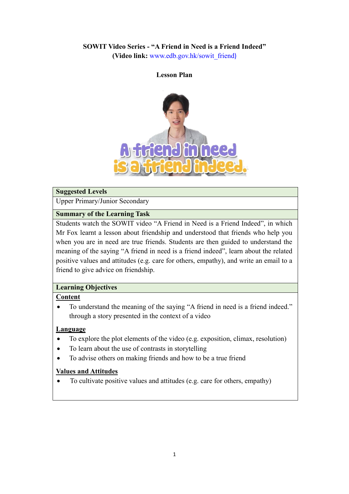# **SOWIT Video Series - "A Friend in Need is a Friend Indeed"**

**(Video link:** [www.edb.gov.hk/sowit\\_friend](http://www.edb.gov.hk/sowit_friend))

#### **Lesson Plan**



#### **Suggested Levels**

Upper Primary/Junior Secondary

### **Summary of the Learning Task**

Students watch the SOWIT video "A Friend in Need is a Friend Indeed", in which Mr Fox learnt a lesson about friendship and understood that friends who help you when you are in need are true friends. Students are then guided to understand the meaning of the saying "A friend in need is a friend indeed", learn about the related positive values and attitudes (e.g. care for others, empathy), and write an email to a friend to give advice on friendship.

### **Learning Objectives**

### **Content**

 To understand the meaning of the saying "A friend in need is a friend indeed." through a story presented in the context of a video

### **Language**

- To explore the plot elements of the video (e.g. exposition, climax, resolution)
- To learn about the use of contrasts in storytelling
- To advise others on making friends and how to be a true friend

### **Values and Attitudes**

To cultivate positive values and attitudes (e.g. care for others, empathy)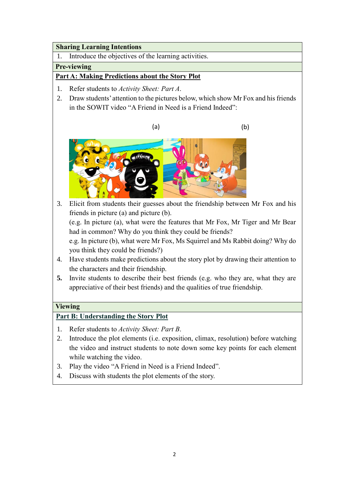### **Sharing Learning Intentions**

1. Introduce the objectives of the learning activities.

## **Pre-viewing**

## **Part A: Making Predictions about the Story Plot**

- 1. Refer students to *Activity Sheet: Part A*.
- 2. Draw students' attention to the pictures below, which show Mr Fox and his friends in the SOWIT video "A Friend in Need is a Friend Indeed":





3. Elicit from students their guesses about the friendship between Mr Fox and his friends in picture (a) and picture (b).

(e.g. In picture (a), what were the features that Mr Fox, Mr Tiger and Mr Bear had in common? Why do you think they could be friends?

e.g. In picture (b), what were Mr Fox, Ms Squirrel and Ms Rabbit doing? Why do you think they could be friends?)

- 4. Have students make predictions about the story plot by drawing their attention to the characters and their friendship.
- **5.** Invite students to describe their best friends (e.g. who they are, what they are appreciative of their best friends) and the qualities of true friendship.

## **Viewing**

## **Part B: Understanding the Story Plot**

- 1. Refer students to *Activity Sheet: Part B*.
- 2. Introduce the plot elements (i.e. exposition, climax, resolution) before watching the video and instruct students to note down some key points for each element while watching the video.
- 3. Play the video "A Friend in Need is a Friend Indeed".
- 4. Discuss with students the plot elements of the story.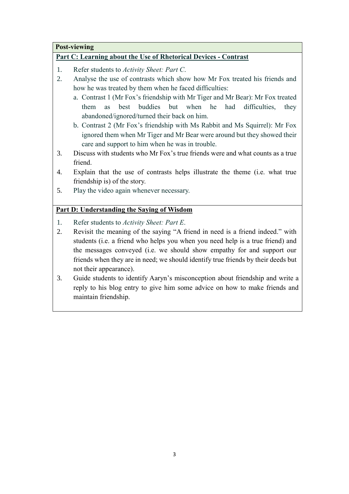# **Post-viewing**

## **Part C: Learning about the Use of Rhetorical Devices - Contrast**

- 1. Refer students to *Activity Sheet: Part C*.
- 2. Analyse the use of contrasts which show how Mr Fox treated his friends and how he was treated by them when he faced difficulties:
	- a. Contrast 1 (Mr Fox's friendship with Mr Tiger and Mr Bear): Mr Fox treated them as best buddies but when he had difficulties, they abandoned/ignored/turned their back on him.
	- b. Contrast 2 (Mr Fox's friendship with Ms Rabbit and Ms Squirrel): Mr Fox ignored them when Mr Tiger and Mr Bear were around but they showed their care and support to him when he was in trouble.
- 3. Discuss with students who Mr Fox's true friends were and what counts as a true friend.
- 4. Explain that the use of contrasts helps illustrate the theme (i.e. what true friendship is) of the story.
- 5. Play the video again whenever necessary.

## **Part D: Understanding the Saying of Wisdom**

- 1. Refer students to *Activity Sheet: Part E*.
- 2. Revisit the meaning of the saying "A friend in need is a friend indeed." with students (i.e. a friend who helps you when you need help is a true friend) and the messages conveyed (i.e. we should show empathy for and support our friends when they are in need; we should identify true friends by their deeds but not their appearance).
- 3. Guide students to identify Aaryn's misconception about friendship and write a reply to his blog entry to give him some advice on how to make friends and maintain friendship.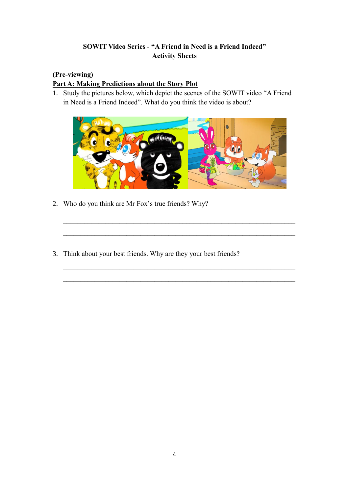# **SOWIT Video Series - "A Friend in Need is a Friend Indeed" Activity Sheets**

# **(Pre-viewing)**

# **Part A: Making Predictions about the Story Plot**

1. Study the pictures below, which depict the scenes of the SOWIT video "A Friend in Need is a Friend Indeed". What do you think the video is about?



 $\_$  , and the set of the set of the set of the set of the set of the set of the set of the set of the set of the set of the set of the set of the set of the set of the set of the set of the set of the set of the set of th

 $\mathcal{L}_\mathcal{L} = \{ \mathcal{L}_\mathcal{L} = \{ \mathcal{L}_\mathcal{L} = \{ \mathcal{L}_\mathcal{L} = \{ \mathcal{L}_\mathcal{L} = \{ \mathcal{L}_\mathcal{L} = \{ \mathcal{L}_\mathcal{L} = \{ \mathcal{L}_\mathcal{L} = \{ \mathcal{L}_\mathcal{L} = \{ \mathcal{L}_\mathcal{L} = \{ \mathcal{L}_\mathcal{L} = \{ \mathcal{L}_\mathcal{L} = \{ \mathcal{L}_\mathcal{L} = \{ \mathcal{L}_\mathcal{L} = \{ \mathcal{L}_\mathcal{$ 

 $\mathcal{L}_\text{max} = \mathcal{L}_\text{max} = \mathcal{L}_\text{max} = \mathcal{L}_\text{max} = \mathcal{L}_\text{max} = \mathcal{L}_\text{max} = \mathcal{L}_\text{max} = \mathcal{L}_\text{max} = \mathcal{L}_\text{max} = \mathcal{L}_\text{max} = \mathcal{L}_\text{max} = \mathcal{L}_\text{max} = \mathcal{L}_\text{max} = \mathcal{L}_\text{max} = \mathcal{L}_\text{max} = \mathcal{L}_\text{max} = \mathcal{L}_\text{max} = \mathcal{L}_\text{max} = \mathcal{$ 

 $\mathcal{L}_\mathcal{L} = \{ \mathcal{L}_\mathcal{L} = \{ \mathcal{L}_\mathcal{L} = \{ \mathcal{L}_\mathcal{L} = \{ \mathcal{L}_\mathcal{L} = \{ \mathcal{L}_\mathcal{L} = \{ \mathcal{L}_\mathcal{L} = \{ \mathcal{L}_\mathcal{L} = \{ \mathcal{L}_\mathcal{L} = \{ \mathcal{L}_\mathcal{L} = \{ \mathcal{L}_\mathcal{L} = \{ \mathcal{L}_\mathcal{L} = \{ \mathcal{L}_\mathcal{L} = \{ \mathcal{L}_\mathcal{L} = \{ \mathcal{L}_\mathcal{$ 

- 2. Who do you think are Mr Fox's true friends? Why?
- 3. Think about your best friends. Why are they your best friends?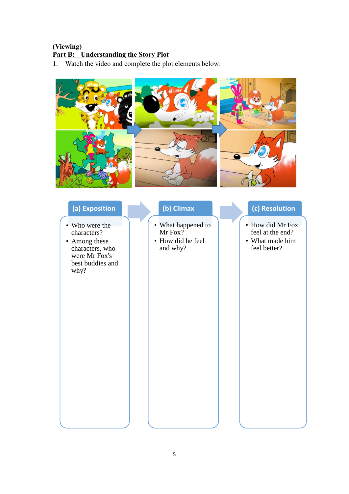# **(Viewing) Part B: Understanding the Story Plot**

1. Watch the video and complete the plot elements below:



| (a) Exposition                                                                                                 |  | (b) Climax                                                     |  |
|----------------------------------------------------------------------------------------------------------------|--|----------------------------------------------------------------|--|
| • Who were the<br>characters?<br>• Among these<br>characters, who<br>were Mr Fox's<br>best buddies and<br>why? |  | • What happened to<br>Mr Fox?<br>• How did he feel<br>and why? |  |

# **(c) Resolution**

- How did Mr Fox feel at the end?
- What made him feel better?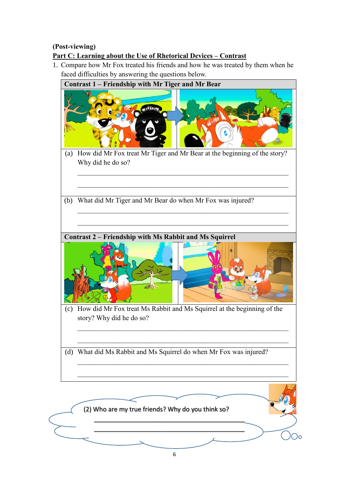# **(Post-viewing) Part C: Learning about the Use of Rhetorical Devices – Contrast**

1. Compare how Mr Fox treated his friends and how he was treated by them when he faced difficulties by answering the questions below.

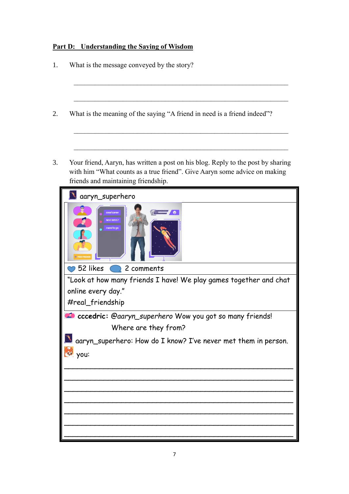# **Part D: Understanding the Saying of Wisdom**

|                                                                                                                                                                                                | What is the message conveyed by the story?                                                                                                                                                           |  |  |  |                |
|------------------------------------------------------------------------------------------------------------------------------------------------------------------------------------------------|------------------------------------------------------------------------------------------------------------------------------------------------------------------------------------------------------|--|--|--|----------------|
|                                                                                                                                                                                                | What is the meaning of the saying "A friend in need is a friend indeed"?                                                                                                                             |  |  |  |                |
|                                                                                                                                                                                                | Your friend, Aaryn, has written a post on his blog. Reply to the post by sharing<br>with him "What counts as a true friend". Give Aaryn some advice on making<br>friends and maintaining friendship. |  |  |  |                |
|                                                                                                                                                                                                | aaryn_superhero                                                                                                                                                                                      |  |  |  |                |
|                                                                                                                                                                                                | 52 likes<br>2 comments                                                                                                                                                                               |  |  |  |                |
| "Look at how many friends I have! We play games together and chat<br>online every day."<br>#real_friendship<br>cccedric: @aaryn_superhero Wow you got so many friends!<br>Where are they from? |                                                                                                                                                                                                      |  |  |  |                |
|                                                                                                                                                                                                |                                                                                                                                                                                                      |  |  |  | <b>ON YOU:</b> |
|                                                                                                                                                                                                |                                                                                                                                                                                                      |  |  |  |                |
|                                                                                                                                                                                                |                                                                                                                                                                                                      |  |  |  |                |
|                                                                                                                                                                                                |                                                                                                                                                                                                      |  |  |  |                |
|                                                                                                                                                                                                |                                                                                                                                                                                                      |  |  |  |                |